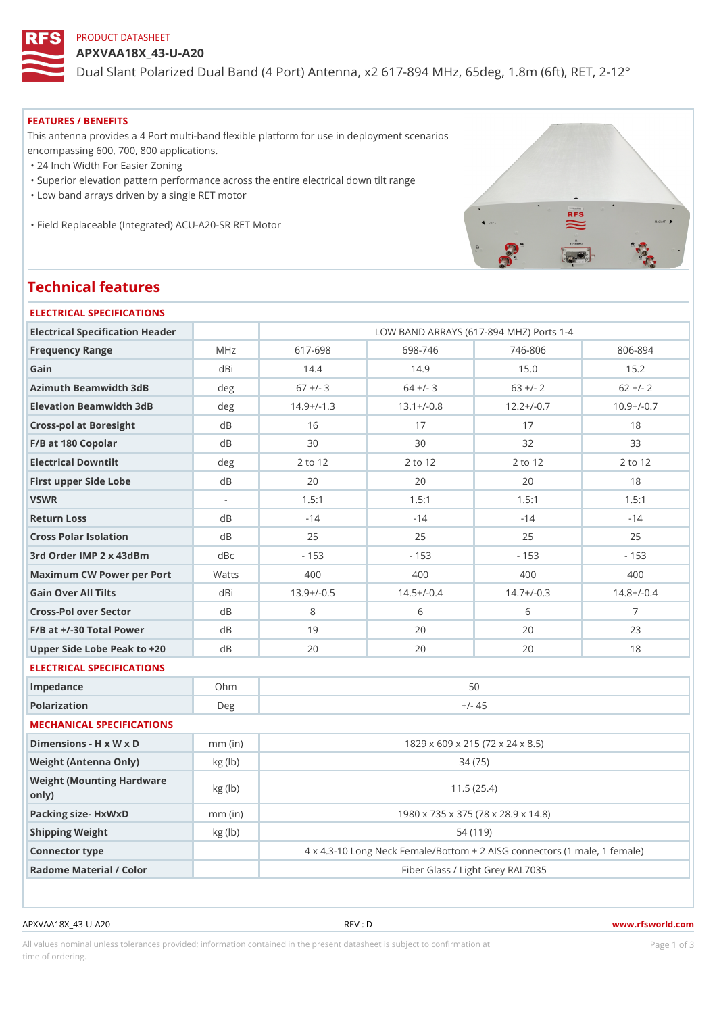# PRODUCT DATASHEET

APXVAA18X\_43-U-A20

Dual Slant Polarized Dual Band (4 Port) Antenna, x2 617-894 MHz, 65d

#### FEATURES / BENEFITS

This antenna provides a 4 Port multi-band flexible platform for use in deployment scenarios encompassing 600, 700, 800 applications.

"24 Inch Width For Easier Zoning

"Superior elevation pattern performance across the entire electrical down tilt range

"Low band arrays driven by a single RET motor

"Field Replaceable (Integrated) ACU-A20-SR RET Motor

# Technical features

| ELECTRICAL SPECIFICATIONS                  |           |                                                           |              |                                  |              |  |  |  |
|--------------------------------------------|-----------|-----------------------------------------------------------|--------------|----------------------------------|--------------|--|--|--|
| Electrical Specification Header            |           | LOW BAND ARRAYS (617-894 MHZ) Ports 1-4                   |              |                                  |              |  |  |  |
| Frequency Range                            | M H z     | 617-698                                                   | 698-746      | $746 - 806$                      | $806 - 894$  |  |  |  |
| Gain                                       | $dB$ i    | 14.4                                                      | 14.9         | 15.0                             | 15.2         |  |  |  |
| Azimuth Beamwidth 3dB                      | deg       | $67$ +/- 3                                                | $64 +/- 3$   | $63 +/- 2$                       | $62 +/- 2$   |  |  |  |
| Elevation Beamwidth 3dB                    | deg       | $14.9+/-1.3$                                              | $13.1+/-0.8$ | $12.2+/-0.7$                     | $10.9+/-0.7$ |  |  |  |
| Cross-pol at Boresight                     | d B       | 16                                                        | 17           | 17                               | 18           |  |  |  |
| F/B at 180 Copolar                         | d B       | 30                                                        | 30           | 32                               | 33           |  |  |  |
| Electrical Downtilt                        | deg       | 2 to 12                                                   | 2 to 12      | 2 to 12                          | 2 to 12      |  |  |  |
| First upper Side Lobe                      | d B       | 20                                                        | 20           | 20                               | 18           |  |  |  |
| VSWR                                       | $\sim$    | 1.5:1                                                     | 1.5:1        | 1.5:1                            | 1.5:1        |  |  |  |
| Return Loss                                | $d \, B$  | $-14$                                                     | $-14$        | $-14$                            | $-14$        |  |  |  |
| Cross Polar Isolation                      | d B       | 25                                                        | 25           | 25                               | 25           |  |  |  |
| 3rd Order IMP 2 x 43dBm                    | dBc       | $-153$                                                    | $-153$       | $-153$                           | $-153$       |  |  |  |
| Maximum CW Power per PoWatts               |           | 400                                                       | 400          | 400                              | 400          |  |  |  |
| Gain Over All Tilts                        | dBi       | $13.9+/-0.5$                                              | $14.5+/-0.4$ | $14.7+/-0.3$                     | $14.8+/-0.4$ |  |  |  |
| Cross-Pol over Sector                      | $d \, B$  | 8                                                         | 6            | 6                                | $7^{\circ}$  |  |  |  |
| $F/B$ at $+/-30$ Total Power               | d B       | 19                                                        | 20           | 20                               | 23           |  |  |  |
| Upper Side Lobe Peak to +20B               |           | 20                                                        | 20           | 20                               | 18           |  |  |  |
| ELECTRICAL SPECIFICATIONS                  |           |                                                           |              |                                  |              |  |  |  |
| Impedance                                  | $O$ h m   | 50                                                        |              |                                  |              |  |  |  |
| Polarization                               | Deg       | $+/- 45$                                                  |              |                                  |              |  |  |  |
| MECHANICAL SPECIFICATIONS                  |           |                                                           |              |                                  |              |  |  |  |
| Dimensions - H x W x D                     | $mm$ (in) | 1829 x 609 x 215 (72 x 24 x 8.5)                          |              |                                  |              |  |  |  |
| Weight (Antenna Only)                      | kg (1b)   | 34 (75)                                                   |              |                                  |              |  |  |  |
| Weight (Mounting Hardware kg (lb)<br>0nly) |           | 11.5(25.4)                                                |              |                                  |              |  |  |  |
| Packing size- HxWxD                        | $mm$ (in) | 1980 x 735 x 375 (78 x 28.9 x 14.8)                       |              |                                  |              |  |  |  |
| Shipping Weight                            | kg (lb)   |                                                           | 54 (119)     |                                  |              |  |  |  |
| Connector type                             |           | 4 x 4.3-10 Long Neck Female/Bottom + 2 AISG connectors (1 |              |                                  |              |  |  |  |
| Radome Material / Color                    |           |                                                           |              | Fiber Glass / Light Grey RAL7035 |              |  |  |  |
|                                            |           |                                                           |              |                                  |              |  |  |  |

APXVAA18X\_43-U-A20 REV : D www.rfsworld.com

All values nominal unless tolerances provided; information contained in the present datasheet is subject to PcaogneionIm astional time of ordering.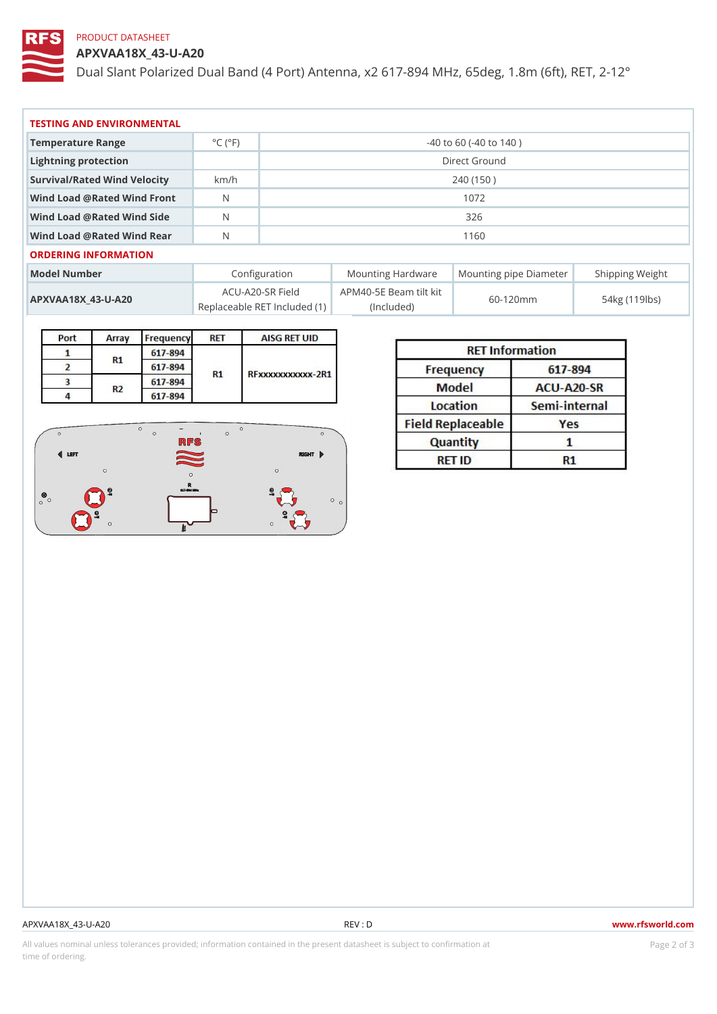# PRODUCT DATASHEET

APXVAA18X\_43-U-A20

Dual Slant Polarized Dual Band (4 Port) Antenna, x2 617-894 MHz, 65d

| TESTING AND ENVIRONMENTAL      |                              |                             |  |  |  |  |  |  |
|--------------------------------|------------------------------|-----------------------------|--|--|--|--|--|--|
| Temperature Range              | $^{\circ}$ C ( $^{\circ}$ F) | $-40$ to 60 ( $-40$ to 140) |  |  |  |  |  |  |
| Lightning protection           |                              | Direct Ground               |  |  |  |  |  |  |
| Survival/Rated Wind Velocikm/h |                              | 240 (150)                   |  |  |  |  |  |  |
| Wind Load @ Rated Wind Front   |                              | 1072                        |  |  |  |  |  |  |
| Wind Load @ Rated Wind Side    |                              | 326                         |  |  |  |  |  |  |
| Wind Load @ Rated Wind ReaN    |                              | 1160                        |  |  |  |  |  |  |
| ORDERING INFORMATION           |                              |                             |  |  |  |  |  |  |

| Model Number                        | Configuration                                                                                 |  | Mounting HardwaMeunting pipe DiameStheirpping Weight |
|-------------------------------------|-----------------------------------------------------------------------------------------------|--|------------------------------------------------------|
| A P X V A A 1 8 X _ 4 3 - U - A 2 0 | $ACU-A20-SR$ Field PM40-5E Beam tilt kit $60-120$ m m<br>Replaceable RET Include (ln t) uded) |  | 54kg (119lbs)                                        |